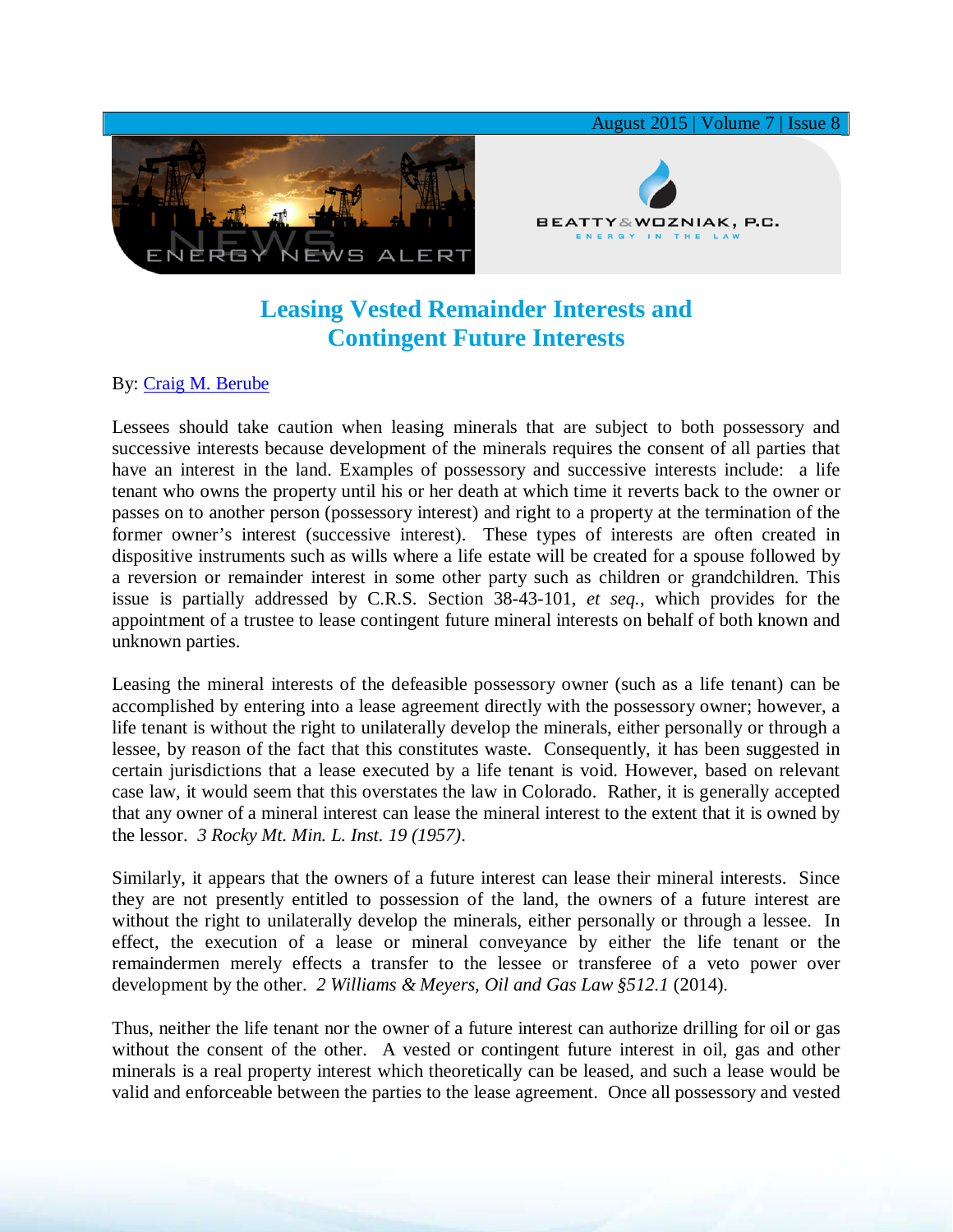

## **Leasing Vested Remainder Interests and Contingent Future Interests**

## By: [Craig M. Berube](http://www.bwenergylaw.com/#!craig-berube/c1g52)

Lessees should take caution when leasing minerals that are subject to both possessory and successive interests because development of the minerals requires the consent of all parties that have an interest in the land. Examples of possessory and successive interests include: a life tenant who owns the property until his or her death at which time it reverts back to the owner or passes on to another person (possessory interest) and right to a property at the termination of the former owner's interest (successive interest). These types of interests are often created in dispositive instruments such as wills where a life estate will be created for a spouse followed by a reversion or remainder interest in some other party such as children or grandchildren. This issue is partially addressed by C.R.S. Section 38-43-101, *et seq.*, which provides for the appointment of a trustee to lease contingent future mineral interests on behalf of both known and unknown parties.

Leasing the mineral interests of the defeasible possessory owner (such as a life tenant) can be accomplished by entering into a lease agreement directly with the possessory owner; however, a life tenant is without the right to unilaterally develop the minerals, either personally or through a lessee, by reason of the fact that this constitutes waste. Consequently, it has been suggested in certain jurisdictions that a lease executed by a life tenant is void. However, based on relevant case law, it would seem that this overstates the law in Colorado. Rather, it is generally accepted that any owner of a mineral interest can lease the mineral interest to the extent that it is owned by the lessor. *3 Rocky Mt. Min. L. Inst. 19 (1957)*.

Similarly, it appears that the owners of a future interest can lease their mineral interests. Since they are not presently entitled to possession of the land, the owners of a future interest are without the right to unilaterally develop the minerals, either personally or through a lessee. In effect, the execution of a lease or mineral conveyance by either the life tenant or the remaindermen merely effects a transfer to the lessee or transferee of a veto power over development by the other. *2 Williams & Meyers, Oil and Gas Law §512.1* (2014).

Thus, neither the life tenant nor the owner of a future interest can authorize drilling for oil or gas without the consent of the other. A vested or contingent future interest in oil, gas and other minerals is a real property interest which theoretically can be leased, and such a lease would be valid and enforceable between the parties to the lease agreement. Once all possessory and vested